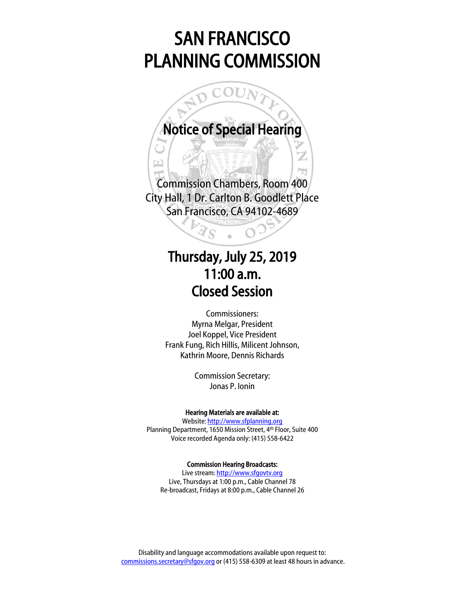# SAN FRANCISCO PLANNING COMMISSION



 $\frac{1}{2}$ Commission Chambers, Room 400 City Hall, 1 Dr. Carlton B. Goodlett Place San Francisco, CA 94102-4689

Ì

# Thursday, July 25, 2019 11:00 a.m. Closed Session

Commissioners: Myrna Melgar, President Joel Koppel, Vice President Frank Fung, Rich Hillis, Milicent Johnson, Kathrin Moore, Dennis Richards

> Commission Secretary: Jonas P. Ionin

#### Hearing Materials are available at:

Website[: http://www.sfplanning.org](http://www.sfplanning.org/) Planning Department, 1650 Mission Street, 4th Floor, Suite 400 Voice recorded Agenda only: (415) 558-6422

#### Commission Hearing Broadcasts:

Live stream: [http://www.sfgovtv.org](http://www.sfgovtv.org/) Live, Thursdays at 1:00 p.m., Cable Channel 78 Re-broadcast, Fridays at 8:00 p.m., Cable Channel 26

Disability and language accommodations available upon request to: [commissions.secretary@sfgov.org](mailto:commissions.secretary@sfgov.org) or (415) 558-6309 at least 48 hours in advance.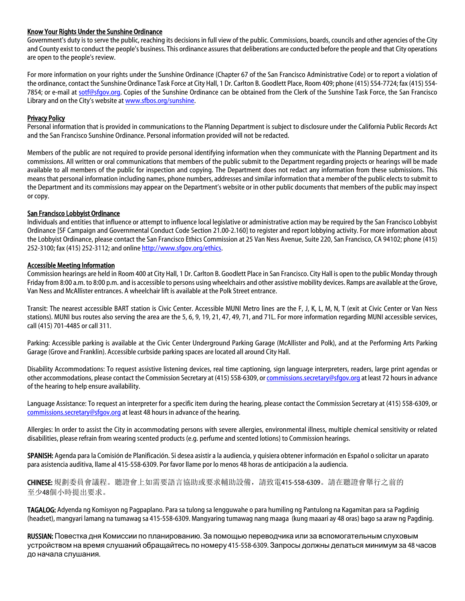#### Know Your Rights Under the Sunshine Ordinance

Government's duty is to serve the public, reaching its decisions in full view of the public. Commissions, boards, councils and other agencies of the City and County exist to conduct the people's business. This ordinance assures that deliberations are conducted before the people and that City operations are open to the people's review.

For more information on your rights under the Sunshine Ordinance (Chapter 67 of the San Francisco Administrative Code) or to report a violation of the ordinance, contact the Sunshine Ordinance Task Force at City Hall, 1 Dr. Carlton B. Goodlett Place, Room 409; phone (415) 554-7724; fax (415) 554 7854; or e-mail at [sotf@sfgov.org.](mailto:sotf@sfgov.org) Copies of the Sunshine Ordinance can be obtained from the Clerk of the Sunshine Task Force, the San Francisco Library and on the City's website a[t www.sfbos.org/sunshine.](http://www.sfbos.org/sunshine)

#### Privacy Policy

Personal information that is provided in communications to the Planning Department is subject to disclosure under the California Public Records Act and the San Francisco Sunshine Ordinance. Personal information provided will not be redacted.

Members of the public are not required to provide personal identifying information when they communicate with the Planning Department and its commissions. All written or oral communications that members of the public submit to the Department regarding projects or hearings will be made available to all members of the public for inspection and copying. The Department does not redact any information from these submissions. This means that personal information including names, phone numbers, addresses and similar information that a member of the public elects to submit to the Department and its commissions may appear on the Department's website or in other public documents that members of the public may inspect or copy.

#### San Francisco Lobbyist Ordinance

Individuals and entities that influence or attempt to influence local legislative or administrative action may be required by the San Francisco Lobbyist Ordinance [SF Campaign and Governmental Conduct Code Section 21.00-2.160] to register and report lobbying activity. For more information about the Lobbyist Ordinance, please contact the San Francisco Ethics Commission at 25 Van Ness Avenue, Suite 220, San Francisco, CA 94102; phone (415) 252-3100; fax (415) 252-3112; and onlin[e http://www.sfgov.org/ethics.](http://www.sfgov.org/ethics)

#### Accessible Meeting Information

Commission hearings are held in Room 400 at City Hall, 1 Dr. Carlton B. Goodlett Place in San Francisco. City Hall is open to the public Monday through Friday from 8:00 a.m. to 8:00 p.m. and is accessible to persons using wheelchairs and other assistive mobility devices. Ramps are available at the Grove, Van Ness and McAllister entrances. A wheelchair lift is available at the Polk Street entrance.

Transit: The nearest accessible BART station is Civic Center. Accessible MUNI Metro lines are the F, J, K, L, M, N, T (exit at Civic Center or Van Ness stations). MUNI bus routes also serving the area are the 5, 6, 9, 19, 21, 47, 49, 71, and 71L. For more information regarding MUNI accessible services, call (415) 701-4485 or call 311.

Parking: Accessible parking is available at the Civic Center Underground Parking Garage (McAllister and Polk), and at the Performing Arts Parking Garage (Grove and Franklin). Accessible curbside parking spaces are located all around City Hall.

Disability Accommodations: To request assistive listening devices, real time captioning, sign language interpreters, readers, large print agendas or other accommodations, please contact the Commission Secretary at (415) 558-6309, o[r commissions.secretary@sfgov.org](mailto:commissions.secretary@sfgov.org) at least 72 hours in advance of the hearing to help ensure availability.

Language Assistance: To request an interpreter for a specific item during the hearing, please contact the Commission Secretary at (415) 558-6309, or [commissions.secretary@sfgov.org](mailto:commissions.secretary@sfgov.org) at least 48 hours in advance of the hearing.

Allergies: In order to assist the City in accommodating persons with severe allergies, environmental illness, multiple chemical sensitivity or related disabilities, please refrain from wearing scented products (e.g. perfume and scented lotions) to Commission hearings.

SPANISH: Agenda para la Comisión de Planificación. Si desea asistir a la audiencia, y quisiera obtener información en Español o solicitar un aparato para asistencia auditiva, llame al 415-558-6309. Por favor llame por lo menos 48 horas de anticipación a la audiencia.

CHINESE: 規劃委員會議程。聽證會上如需要語言協助或要求輔助設備,請致電415-558-6309。請在聽證會舉行之前的 至少48個小時提出要求。

TAGALOG: Adyenda ng Komisyon ng Pagpaplano. Para sa tulong sa lengguwahe o para humiling ng Pantulong na Kagamitan para sa Pagdinig (headset), mangyari lamang na tumawag sa 415-558-6309. Mangyaring tumawag nang maaga (kung maaari ay 48 oras) bago sa araw ng Pagdinig.

RUSSIAN: Повестка дня Комиссии по планированию. За помощью переводчика или за вспомогательным слуховым устройством на время слушаний обращайтесь по номеру 415-558-6309. Запросы должны делаться минимум за 48 часов до начала слушания.